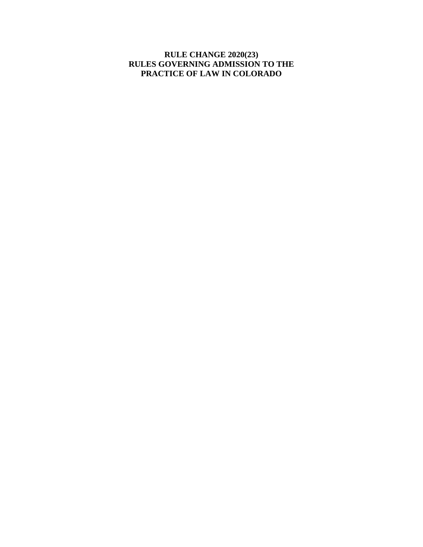### **RULE CHANGE 2020(23) RULES GOVERNING ADMISSION TO THE PRACTICE OF LAW IN COLORADO**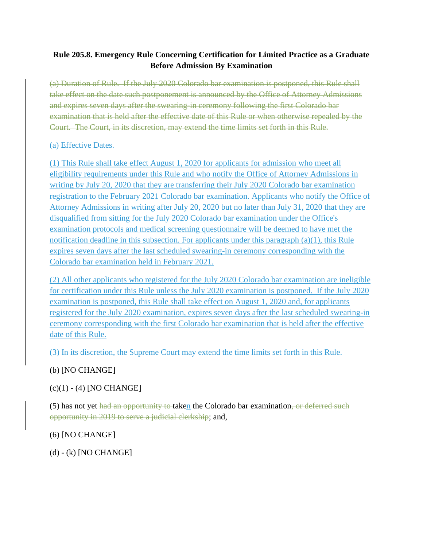## **Rule 205.8. Emergency Rule Concerning Certification for Limited Practice as a Graduate Before Admission By Examination**

(a) Duration of Rule. If the July 2020 Colorado bar examination is postponed, this Rule shall take effect on the date such postponement is announced by the Office of Attorney Admissions and expires seven days after the swearing-in ceremony following the first Colorado bar examination that is held after the effective date of this Rule or when otherwise repealed by the Court. The Court, in its discretion, may extend the time limits set forth in this Rule.

### (a) Effective Dates.

(1) This Rule shall take effect August 1, 2020 for applicants for admission who meet all eligibility requirements under this Rule and who notify the Office of Attorney Admissions in writing by July 20, 2020 that they are transferring their July 2020 Colorado bar examination registration to the February 2021 Colorado bar examination. Applicants who notify the Office of Attorney Admissions in writing after July 20, 2020 but no later than July 31, 2020 that they are disqualified from sitting for the July 2020 Colorado bar examination under the Office's examination protocols and medical screening questionnaire will be deemed to have met the notification deadline in this subsection. For applicants under this paragraph (a)(1), this Rule expires seven days after the last scheduled swearing-in ceremony corresponding with the Colorado bar examination held in February 2021.

(2) All other applicants who registered for the July 2020 Colorado bar examination are ineligible for certification under this Rule unless the July 2020 examination is postponed. If the July 2020 examination is postponed, this Rule shall take effect on August 1, 2020 and, for applicants registered for the July 2020 examination, expires seven days after the last scheduled swearing-in ceremony corresponding with the first Colorado bar examination that is held after the effective date of this Rule.

(3) In its discretion, the Supreme Court may extend the time limits set forth in this Rule.

# (b) [NO CHANGE]

### (c)(1) - (4) [NO CHANGE]

(5) has not yet had an opportunity to taken the Colorado bar examination, or deferred such opportunity in 2019 to serve a judicial clerkship; and,

### (6) [NO CHANGE]

(d) - (k) [NO CHANGE]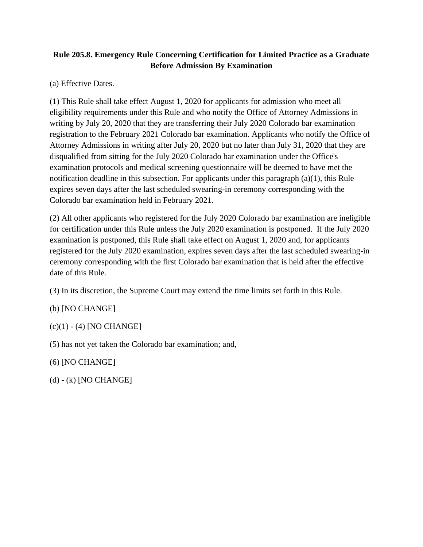# **Rule 205.8. Emergency Rule Concerning Certification for Limited Practice as a Graduate Before Admission By Examination**

(a) Effective Dates.

(1) This Rule shall take effect August 1, 2020 for applicants for admission who meet all eligibility requirements under this Rule and who notify the Office of Attorney Admissions in writing by July 20, 2020 that they are transferring their July 2020 Colorado bar examination registration to the February 2021 Colorado bar examination. Applicants who notify the Office of Attorney Admissions in writing after July 20, 2020 but no later than July 31, 2020 that they are disqualified from sitting for the July 2020 Colorado bar examination under the Office's examination protocols and medical screening questionnaire will be deemed to have met the notification deadline in this subsection. For applicants under this paragraph (a)(1), this Rule expires seven days after the last scheduled swearing-in ceremony corresponding with the Colorado bar examination held in February 2021.

(2) All other applicants who registered for the July 2020 Colorado bar examination are ineligible for certification under this Rule unless the July 2020 examination is postponed. If the July 2020 examination is postponed, this Rule shall take effect on August 1, 2020 and, for applicants registered for the July 2020 examination, expires seven days after the last scheduled swearing-in ceremony corresponding with the first Colorado bar examination that is held after the effective date of this Rule.

(3) In its discretion, the Supreme Court may extend the time limits set forth in this Rule.

(b) [NO CHANGE]

 $(c)(1) - (4)$  [NO CHANGE]

(5) has not yet taken the Colorado bar examination; and,

(6) [NO CHANGE]

(d) - (k) [NO CHANGE]